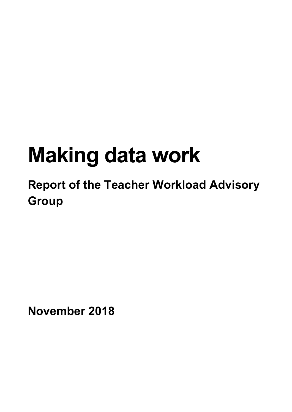# **Making data work**

## **Report of the Teacher Workload Advisory Group**

**November 2018**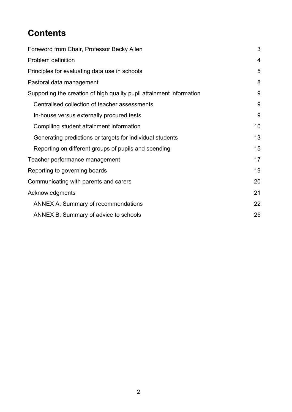## **Contents**

| Foreword from Chair, Professor Becky Allen                           | 3  |
|----------------------------------------------------------------------|----|
| Problem definition                                                   | 4  |
| Principles for evaluating data use in schools                        | 5  |
| Pastoral data management                                             | 8  |
| Supporting the creation of high quality pupil attainment information | 9  |
| Centralised collection of teacher assessments                        | 9  |
| In-house versus externally procured tests                            | 9  |
| Compiling student attainment information                             | 10 |
| Generating predictions or targets for individual students            | 13 |
| Reporting on different groups of pupils and spending                 | 15 |
| Teacher performance management                                       | 17 |
| Reporting to governing boards                                        | 19 |
| Communicating with parents and carers                                | 20 |
| Acknowledgments                                                      | 21 |
| <b>ANNEX A: Summary of recommendations</b>                           | 22 |
| ANNEX B: Summary of advice to schools                                | 25 |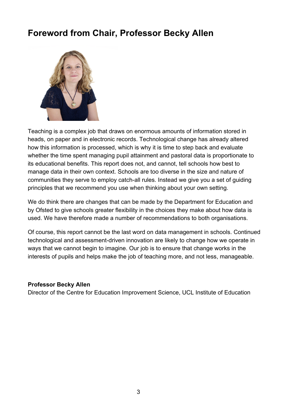## <span id="page-2-0"></span>**Foreword from Chair, Professor Becky Allen**



Teaching is a complex job that draws on enormous amounts of information stored in heads, on paper and in electronic records. Technological change has already altered how this information is processed, which is why it is time to step back and evaluate whether the time spent managing pupil attainment and pastoral data is proportionate to its educational benefits. This report does not, and cannot, tell schools how best to manage data in their own context. Schools are too diverse in the size and nature of communities they serve to employ catch-all rules. Instead we give you a set of guiding principles that we recommend you use when thinking about your own setting.

We do think there are changes that can be made by the Department for Education and by Ofsted to give schools greater flexibility in the choices they make about how data is used. We have therefore made a number of recommendations to both organisations.

Of course, this report cannot be the last word on data management in schools. Continued technological and assessment-driven innovation are likely to change how we operate in ways that we cannot begin to imagine. Our job is to ensure that change works in the interests of pupils and helps make the job of teaching more, and not less, manageable.

#### **Professor Becky Allen**

Director of the Centre for Education Improvement Science, UCL Institute of Education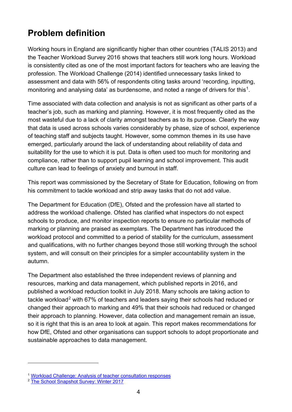## <span id="page-3-0"></span>**Problem definition**

Working hours in England are significantly higher than other countries (TALIS 2013) and the Teacher Workload Survey 2016 shows that teachers still work long hours. Workload is consistently cited as one of the most important factors for teachers who are leaving the profession. The Workload Challenge (2014) identified unnecessary tasks linked to assessment and data with 56% of respondents citing tasks around 'recording, inputting, monitoring and analysing data' as burdensome, and noted a range of drivers for this<sup>1</sup>.

Time associated with data collection and analysis is not as significant as other parts of a teacher's job, such as marking and planning. However, it is most frequently cited as the most wasteful due to a lack of clarity amongst teachers as to its purpose. Clearly the way that data is used across schools varies considerably by phase, size of school, experience of teaching staff and subjects taught. However, some common themes in its use have emerged, particularly around the lack of understanding about reliability of data and suitability for the use to which it is put. Data is often used too much for monitoring and compliance, rather than to support pupil learning and school improvement. This audit culture can lead to feelings of anxiety and burnout in staff.

This report was commissioned by the Secretary of State for Education, following on from his commitment to tackle workload and strip away tasks that do not add value.

The Department for Education (DfE), Ofsted and the profession have all started to address the workload challenge. Ofsted has clarified what inspectors do not expect schools to produce, and monitor inspection reports to ensure no particular methods of marking or planning are praised as exemplars. The Department has introduced the workload protocol and committed to a period of stability for the curriculum, assessment and qualifications, with no further changes beyond those still working through the school system, and will consult on their principles for a simpler accountability system in the autumn.

The Department also established the three independent reviews of planning and resources, marking and data management, which published reports in 2016, and published a workload reduction toolkit in July 2018. Many schools are taking action to tackle workload<sup>[2](#page-3-2)</sup> with 67% of teachers and leaders saying their schools had reduced or changed their approach to marking and 49% that their schools had reduced or changed their approach to planning. However, data collection and management remain an issue, so it is right that this is an area to look at again. This report makes recommendations for how DfE, Ofsted and other organisations can support schools to adopt proportionate and sustainable approaches to data management.

 $\overline{a}$ 

<span id="page-3-1"></span><sup>1</sup> [Workload Challenge: Analysis of teacher consultation responses](https://assets.publishing.service.gov.uk/government/uploads/system/uploads/attachment_data/file/401406/RR445_-_Workload_Challenge_-_Analysis_of_teacher_consultation_responses_FINAL.pdf)

<span id="page-3-2"></span><sup>&</sup>lt;sup>2</sup> [The School Snapshot Survey: Winter 2017](https://assets.publishing.service.gov.uk/government/uploads/system/uploads/attachment_data/file/727807/The_school_snapshot_survey_winter_2017.pdf)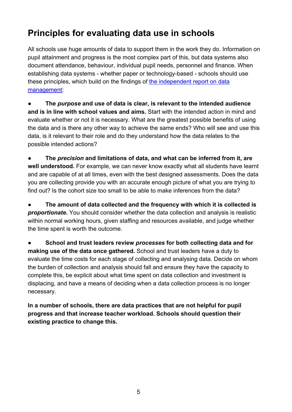## <span id="page-4-0"></span>**Principles for evaluating data use in schools**

All schools use huge amounts of data to support them in the work they do. Information on pupil attainment and progress is the most complex part of this, but data systems also document attendance, behaviour, individual pupil needs, personnel and finance. When establishing data systems - whether paper or technology-based - schools should use these principles, which build on the findings of [the independent report on data](https://www.gov.uk/government/publications/reducing-teacher-workload-data-management-review-group-report)  [management:](https://www.gov.uk/government/publications/reducing-teacher-workload-data-management-review-group-report)

● **The** *purpose* **and use of data is clear, is relevant to the intended audience and is in line with school values and aims.** Start with the intended action in mind and evaluate whether or not it is necessary. What are the greatest possible benefits of using the data and is there any other way to achieve the same ends? Who will see and use this data, is it relevant to their role and do they understand how the data relates to the possible intended actions?

● **The** *precision* **and limitations of data, and what can be inferred from it, are well understood.** For example, we can never know exactly what all students have learnt and are capable of at all times, even with the best designed assessments. Does the data you are collecting provide you with an accurate enough picture of what you are trying to find out? Is the cohort size too small to be able to make inferences from the data?

● **The amount of data collected and the frequency with which it is collected is**  *proportionate*. You should consider whether the data collection and analysis is realistic within normal working hours, given staffing and resources available, and judge whether the time spent is worth the outcome.

● **School and trust leaders review** *processes* **for both collecting data and for making use of the data once gathered.** School and trust leaders have a duty to evaluate the time costs for each stage of collecting and analysing data. Decide on whom the burden of collection and analysis should fall and ensure they have the capacity to complete this, be explicit about what time spent on data collection and investment is displacing, and have a means of deciding when a data collection process is no longer necessary.

**In a number of schools, there are data practices that are not helpful for pupil progress and that increase teacher workload. Schools should question their existing practice to change this.**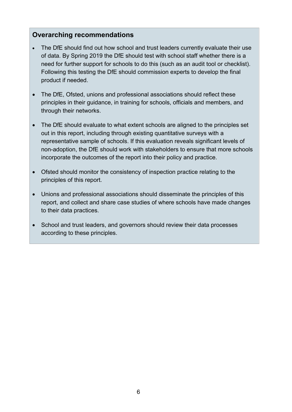#### **Overarching recommendations**

- The DfE should find out how school and trust leaders currently evaluate their use of data. By Spring 2019 the DfE should test with school staff whether there is a need for further support for schools to do this (such as an audit tool or checklist). Following this testing the DfE should commission experts to develop the final product if needed.
- The DfE, Ofsted, unions and professional associations should reflect these principles in their guidance, in training for schools, officials and members, and through their networks.
- The DfE should evaluate to what extent schools are aligned to the principles set out in this report, including through existing quantitative surveys with a representative sample of schools. If this evaluation reveals significant levels of non-adoption, the DfE should work with stakeholders to ensure that more schools incorporate the outcomes of the report into their policy and practice.
- Ofsted should monitor the consistency of inspection practice relating to the principles of this report.
- Unions and professional associations should disseminate the principles of this report, and collect and share case studies of where schools have made changes to their data practices.
- School and trust leaders, and governors should review their data processes according to these principles.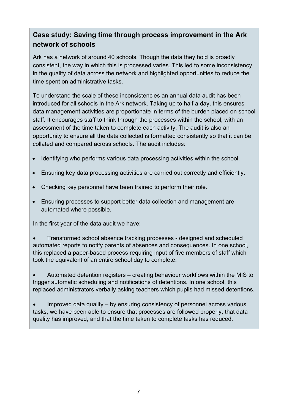## **Case study: Saving time through process improvement in the Ark network of schools**

Ark has a network of around 40 schools. Though the data they hold is broadly consistent, the way in which this is processed varies. This led to some inconsistency in the quality of data across the network and highlighted opportunities to reduce the time spent on administrative tasks.

To understand the scale of these inconsistencies an annual data audit has been introduced for all schools in the Ark network. Taking up to half a day, this ensures data management activities are proportionate in terms of the burden placed on school staff. It encourages staff to think through the processes within the school, with an assessment of the time taken to complete each activity. The audit is also an opportunity to ensure all the data collected is formatted consistently so that it can be collated and compared across schools. The audit includes:

- Identifying who performs various data processing activities within the school.
- Ensuring key data processing activities are carried out correctly and efficiently.
- Checking key personnel have been trained to perform their role.
- Ensuring processes to support better data collection and management are automated where possible.

In the first year of the data audit we have:

• Transformed school absence tracking processes - designed and scheduled automated reports to notify parents of absences and consequences. In one school, this replaced a paper-based process requiring input of five members of staff which took the equivalent of an entire school day to complete.

• Automated detention registers – creating behaviour workflows within the MIS to trigger automatic scheduling and notifications of detentions. In one school, this replaced administrators verbally asking teachers which pupils had missed detentions.

• Improved data quality – by ensuring consistency of personnel across various tasks, we have been able to ensure that processes are followed properly, that data quality has improved, and that the time taken to complete tasks has reduced.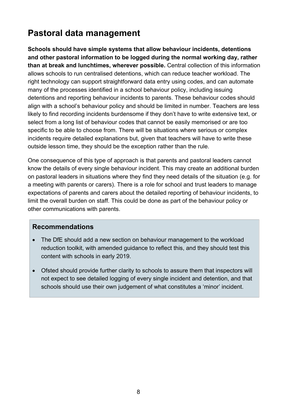## <span id="page-7-0"></span>**Pastoral data management**

**Schools should have simple systems that allow behaviour incidents, detentions and other pastoral information to be logged during the normal working day, rather than at break and lunchtimes, wherever possible.** Central collection of this information allows schools to run centralised detentions, which can reduce teacher workload. The right technology can support straightforward data entry using codes, and can automate many of the processes identified in a school behaviour policy, including issuing detentions and reporting behaviour incidents to parents. These behaviour codes should align with a school's behaviour policy and should be limited in number. Teachers are less likely to find recording incidents burdensome if they don't have to write extensive text, or select from a long list of behaviour codes that cannot be easily memorised or are too specific to be able to choose from. There will be situations where serious or complex incidents require detailed explanations but, given that teachers will have to write these outside lesson time, they should be the exception rather than the rule.

One consequence of this type of approach is that parents and pastoral leaders cannot know the details of every single behaviour incident. This may create an additional burden on pastoral leaders in situations where they find they need details of the situation (e.g. for a meeting with parents or carers). There is a role for school and trust leaders to manage expectations of parents and carers about the detailed reporting of behaviour incidents, to limit the overall burden on staff. This could be done as part of the behaviour policy or other communications with parents.

- The DfE should add a new section on behaviour management to the workload reduction toolkit, with amended guidance to reflect this, and they should test this content with schools in early 2019.
- Ofsted should provide further clarity to schools to assure them that inspectors will not expect to see detailed logging of every single incident and detention, and that schools should use their own judgement of what constitutes a 'minor' incident.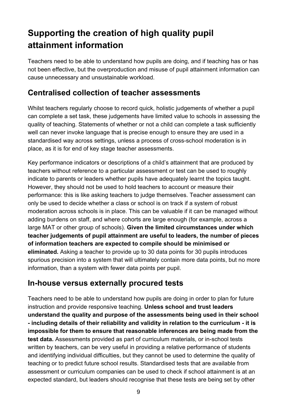## <span id="page-8-0"></span>**Supporting the creation of high quality pupil attainment information**

Teachers need to be able to understand how pupils are doing, and if teaching has or has not been effective, but the overproduction and misuse of pupil attainment information can cause unnecessary and unsustainable workload.

## <span id="page-8-1"></span>**Centralised collection of teacher assessments**

Whilst teachers regularly choose to record quick, holistic judgements of whether a pupil can complete a set task, these judgements have limited value to schools in assessing the quality of teaching. Statements of whether or not a child can complete a task sufficiently well can never invoke language that is precise enough to ensure they are used in a standardised way across settings, unless a process of cross-school moderation is in place, as it is for end of key stage teacher assessments.

Key performance indicators or descriptions of a child's attainment that are produced by teachers without reference to a particular assessment or test can be used to roughly indicate to parents or leaders whether pupils have adequately learnt the topics taught. However, they should not be used to hold teachers to account or measure their performance: this is like asking teachers to judge themselves. Teacher assessment can only be used to decide whether a class or school is on track if a system of robust moderation across schools is in place. This can be valuable if it can be managed without adding burdens on staff, and where cohorts are large enough (for example, across a large MAT or other group of schools). **Given the limited circumstances under which teacher judgements of pupil attainment are useful to leaders, the number of pieces of information teachers are expected to compile should be minimised or eliminated.** Asking a teacher to provide up to 30 data points for 30 pupils introduces spurious precision into a system that will ultimately contain more data points, but no more information, than a system with fewer data points per pupil.

## <span id="page-8-2"></span>**In-house versus externally procured tests**

Teachers need to be able to understand how pupils are doing in order to plan for future instruction and provide responsive teaching. **Unless school and trust leaders understand the quality and purpose of the assessments being used in their school - including details of their reliability and validity in relation to the curriculum - it is impossible for them to ensure that reasonable inferences are being made from the test data.** Assessments provided as part of curriculum materials, or in-school tests written by teachers, can be very useful in providing a relative performance of students and identifying individual difficulties, but they cannot be used to determine the quality of teaching or to predict future school results. Standardised tests that are available from assessment or curriculum companies can be used to check if school attainment is at an expected standard, but leaders should recognise that these tests are being set by other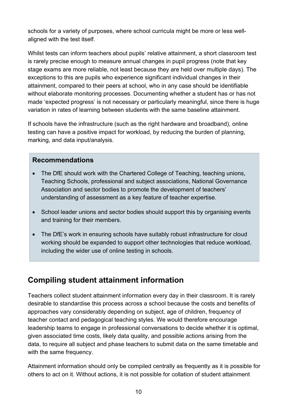schools for a variety of purposes, where school curricula might be more or less wellaligned with the test itself.

Whilst tests can inform teachers about pupils' relative attainment, a short classroom test is rarely precise enough to measure annual changes in pupil progress (note that key stage exams are more reliable, not least because they are held over multiple days). The exceptions to this are pupils who experience significant individual changes in their attainment, compared to their peers at school, who in any case should be identifiable without elaborate monitoring processes. Documenting whether a student has or has not made 'expected progress' is not necessary or particularly meaningful, since there is huge variation in rates of learning between students with the same baseline attainment.

If schools have the infrastructure (such as the right hardware and broadband), online testing can have a positive impact for workload, by reducing the burden of planning, marking, and data input/analysis.

#### **Recommendations**

- The DfE should work with the Chartered College of Teaching, teaching unions, Teaching Schools, professional and subject associations, National Governance Association and sector bodies to promote the development of teachers' understanding of assessment as a key feature of teacher expertise.
- School leader unions and sector bodies should support this by organising events and training for their members.
- The DfE's work in ensuring schools have suitably robust infrastructure for cloud working should be expanded to support other technologies that reduce workload, including the wider use of online testing in schools.

## <span id="page-9-0"></span>**Compiling student attainment information**

Teachers collect student attainment information every day in their classroom. It is rarely desirable to standardise this process across a school because the costs and benefits of approaches vary considerably depending on subject, age of children, frequency of teacher contact and pedagogical teaching styles. We would therefore encourage leadership teams to engage in professional conversations to decide whether it is optimal, given associated time costs, likely data quality, and possible actions arising from the data, to require all subject and phase teachers to submit data on the same timetable and with the same frequency.

Attainment information should only be compiled centrally as frequently as it is possible for others to act on it. Without actions, it is not possible for collation of student attainment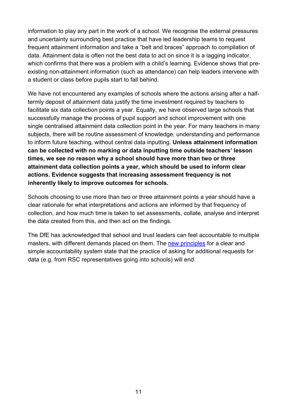information to play any part in the work of a school. We recognise the external pressures and uncertainty surrounding best practice that have led leadership teams to request frequent attainment information and take a "belt and braces" approach to compilation of data. Attainment data is often not the best data to act on since it is a lagging indicator, which confirms that there was a problem with a child's learning. Evidence shows that preexisting non-attainment information (such as attendance) can help leaders intervene with a student or class before pupils start to fall behind.

We have not encountered any examples of schools where the actions arising after a halftermly deposit of attainment data justify the time investment required by teachers to facilitate six data collection points a year. Equally, we have observed large schools that successfully manage the process of pupil support and school improvement with one single centralised attainment data collection point in the year. For many teachers in many subjects, there will be routine assessment of knowledge, understanding and performance to inform future teaching, without central data inputting. **Unless attainment information can be collected with no marking or data inputting time outside teachers' lesson times, we see no reason why a school should have more than two or three attainment data collection points a year, which should be used to inform clear actions. Evidence suggests that increasing assessment frequency is not inherently likely to improve outcomes for schools.**

Schools choosing to use more than two or three attainment points a year should have a clear rationale for what interpretations and actions are informed by that frequency of collection, and how much time is taken to set assessments, collate, analyse and interpret the data created from this, and then act on the findings.

The DfE has acknowledged that school and trust leaders can feel accountable to multiple masters, with different demands placed on them. The [new principles](https://www.gov.uk/government/publications/principles-for-a-clear-and-simple-school-accountability-system) for a clear and simple accountability system state that the practice of asking for additional requests for data (e.g. from RSC representatives going into schools) will end.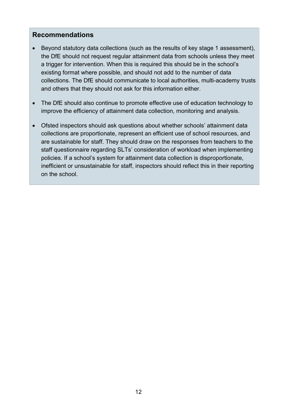- Beyond statutory data collections (such as the results of key stage 1 assessment), the DfE should not request regular attainment data from schools unless they meet a trigger for intervention. When this is required this should be in the school's existing format where possible, and should not add to the number of data collections. The DfE should communicate to local authorities, multi-academy trusts and others that they should not ask for this information either.
- The DfE should also continue to promote effective use of education technology to improve the efficiency of attainment data collection, monitoring and analysis.
- Ofsted inspectors should ask questions about whether schools' attainment data collections are proportionate, represent an efficient use of school resources, and are sustainable for staff. They should draw on the responses from teachers to the staff questionnaire regarding SLTs' consideration of workload when implementing policies. If a school's system for attainment data collection is disproportionate, inefficient or unsustainable for staff, inspectors should reflect this in their reporting on the school.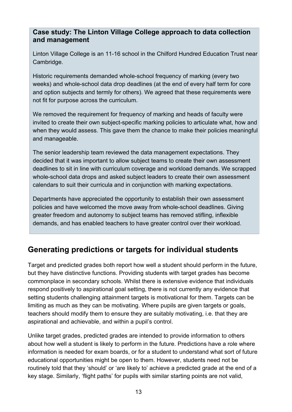## **Case study: The Linton Village College approach to data collection and management**

Linton Village College is an 11-16 school in the Chilford Hundred Education Trust near Cambridge.

Historic requirements demanded whole-school frequency of marking (every two weeks) and whole-school data drop deadlines (at the end of every half term for core and option subjects and termly for others). We agreed that these requirements were not fit for purpose across the curriculum.

We removed the requirement for frequency of marking and heads of faculty were invited to create their own subject-specific marking policies to articulate what, how and when they would assess. This gave them the chance to make their policies meaningful and manageable.

The senior leadership team reviewed the data management expectations. They decided that it was important to allow subject teams to create their own assessment deadlines to sit in line with curriculum coverage and workload demands. We scrapped whole-school data drops and asked subject leaders to create their own assessment calendars to suit their curricula and in conjunction with marking expectations.

Departments have appreciated the opportunity to establish their own assessment policies and have welcomed the move away from whole-school deadlines. Giving greater freedom and autonomy to subject teams has removed stifling, inflexible demands, and has enabled teachers to have greater control over their workload.

## <span id="page-12-0"></span>**Generating predictions or targets for individual students**

Target and predicted grades both report how well a student should perform in the future, but they have distinctive functions. Providing students with target grades has become commonplace in secondary schools. Whilst there is extensive evidence that individuals respond positively to aspirational goal setting, there is not currently any evidence that setting students challenging attainment targets is motivational for them. Targets can be limiting as much as they can be motivating. Where pupils are given targets or goals, teachers should modify them to ensure they are suitably motivating, i.e. that they are aspirational and achievable, and within a pupil's control.

Unlike target grades, predicted grades are intended to provide information to others about how well a student is likely to perform in the future. Predictions have a role where information is needed for exam boards, or for a student to understand what sort of future educational opportunities might be open to them. However, students need not be routinely told that they 'should' or 'are likely to' achieve a predicted grade at the end of a key stage. Similarly, 'flight paths' for pupils with similar starting points are not valid,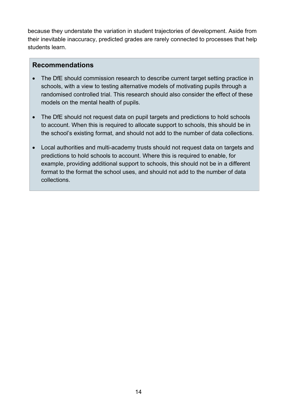because they understate the variation in student trajectories of development. Aside from their inevitable inaccuracy, predicted grades are rarely connected to processes that help students learn.

- The DfE should commission research to describe current target setting practice in schools, with a view to testing alternative models of motivating pupils through a randomised controlled trial. This research should also consider the effect of these models on the mental health of pupils.
- The DfE should not request data on pupil targets and predictions to hold schools to account. When this is required to allocate support to schools, this should be in the school's existing format, and should not add to the number of data collections.
- Local authorities and multi-academy trusts should not request data on targets and predictions to hold schools to account. Where this is required to enable, for example, providing additional support to schools, this should not be in a different format to the format the school uses, and should not add to the number of data collections.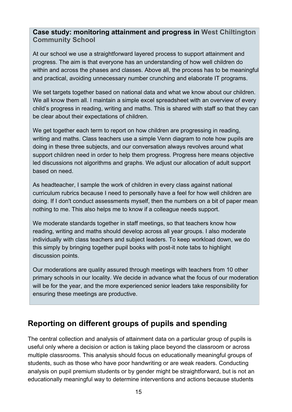## **Case study: monitoring attainment and progress in West Chiltington Community School**

At our school we use a straightforward layered process to support attainment and progress. The aim is that everyone has an understanding of how well children do within and across the phases and classes. Above all, the process has to be meaningful and practical, avoiding unnecessary number crunching and elaborate IT programs.

We set targets together based on national data and what we know about our children. We all know them all. I maintain a simple excel spreadsheet with an overview of every child's progress in reading, writing and maths. This is shared with staff so that they can be clear about their expectations of children.

We get together each term to report on how children are progressing in reading, writing and maths. Class teachers use a simple Venn diagram to note how pupils are doing in these three subjects, and our conversation always revolves around what support children need in order to help them progress. Progress here means objective led discussions not algorithms and graphs. We adjust our allocation of adult support based on need.

As headteacher, I sample the work of children in every class against national curriculum rubrics because I need to personally have a feel for how well children are doing. If I don't conduct assessments myself, then the numbers on a bit of paper mean nothing to me. This also helps me to know if a colleague needs support.

We moderate standards together in staff meetings, so that teachers know how reading, writing and maths should develop across all year groups. I also moderate individually with class teachers and subject leaders. To keep workload down, we do this simply by bringing together pupil books with post-it note tabs to highlight discussion points.

Our moderations are quality assured through meetings with teachers from 10 other primary schools in our locality. We decide in advance what the focus of our moderation will be for the year, and the more experienced senior leaders take responsibility for ensuring these meetings are productive.

## <span id="page-14-0"></span>**Reporting on different groups of pupils and spending**

The central collection and analysis of attainment data on a particular group of pupils is useful only where a decision or action is taking place beyond the classroom or across multiple classrooms. This analysis should focus on educationally meaningful groups of students, such as those who have poor handwriting or are weak readers. Conducting analysis on pupil premium students or by gender might be straightforward, but is not an educationally meaningful way to determine interventions and actions because students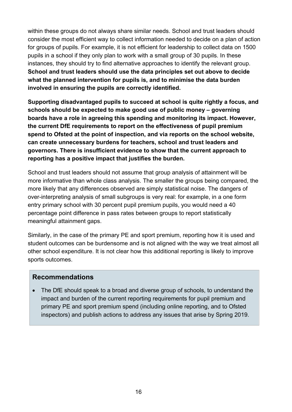within these groups do not always share similar needs. School and trust leaders should consider the most efficient way to collect information needed to decide on a plan of action for groups of pupils. For example, it is not efficient for leadership to collect data on 1500 pupils in a school if they only plan to work with a small group of 30 pupils. In these instances, they should try to find alternative approaches to identify the relevant group. **School and trust leaders should use the data principles set out above to decide what the planned intervention for pupils is, and to minimise the data burden involved in ensuring the pupils are correctly identified.**

**Supporting disadvantaged pupils to succeed at school is quite rightly a focus, and schools should be expected to make good use of public money – governing boards have a role in agreeing this spending and monitoring its impact. However, the current DfE requirements to report on the effectiveness of pupil premium spend to Ofsted at the point of inspection, and via reports on the school website, can create unnecessary burdens for teachers, school and trust leaders and governors. There is insufficient evidence to show that the current approach to reporting has a positive impact that justifies the burden.**

School and trust leaders should not assume that group analysis of attainment will be more informative than whole class analysis. The smaller the groups being compared, the more likely that any differences observed are simply statistical noise. The dangers of over-interpreting analysis of small subgroups is very real: for example, in a one form entry primary school with 30 percent pupil premium pupils, you would need a 40 percentage point difference in pass rates between groups to report statistically meaningful attainment gaps.

Similarly, in the case of the primary PE and sport premium, reporting how it is used and student outcomes can be burdensome and is not aligned with the way we treat almost all other school expenditure. It is not clear how this additional reporting is likely to improve sports outcomes.

## **Recommendations**

• The DfE should speak to a broad and diverse group of schools, to understand the impact and burden of the current reporting requirements for pupil premium and primary PE and sport premium spend (including online reporting, and to Ofsted inspectors) and publish actions to address any issues that arise by Spring 2019.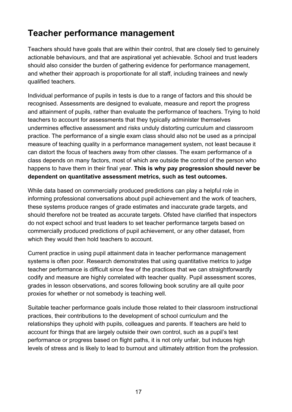## <span id="page-16-0"></span>**Teacher performance management**

Teachers should have goals that are within their control, that are closely tied to genuinely actionable behaviours, and that are aspirational yet achievable. School and trust leaders should also consider the burden of gathering evidence for performance management, and whether their approach is proportionate for all staff, including trainees and newly qualified teachers.

Individual performance of pupils in tests is due to a range of factors and this should be recognised. Assessments are designed to evaluate, measure and report the progress and attainment of pupils, rather than evaluate the performance of teachers. Trying to hold teachers to account for assessments that they typically administer themselves undermines effective assessment and risks unduly distorting curriculum and classroom practice. The performance of a single exam class should also not be used as a principal measure of teaching quality in a performance management system, not least because it can distort the focus of teachers away from other classes. The exam performance of a class depends on many factors, most of which are outside the control of the person who happens to have them in their final year. **This is why pay progression should never be dependent on quantitative assessment metrics, such as test outcomes.**

While data based on commercially produced predictions can play a helpful role in informing professional conversations about pupil achievement and the work of teachers, these systems produce ranges of grade estimates and inaccurate grade targets, and should therefore not be treated as accurate targets. Ofsted have clarified that inspectors do not expect school and trust leaders to set teacher performance targets based on commercially produced predictions of pupil achievement, or any other dataset, from which they would then hold teachers to account.

Current practice in using pupil attainment data in teacher performance management systems is often poor. Research demonstrates that using quantitative metrics to judge teacher performance is difficult since few of the practices that we can straightforwardly codify and measure are highly correlated with teacher quality. Pupil assessment scores, grades in lesson observations, and scores following book scrutiny are all quite poor proxies for whether or not somebody is teaching well.

Suitable teacher performance goals include those related to their classroom instructional practices, their contributions to the development of school curriculum and the relationships they uphold with pupils, colleagues and parents. If teachers are held to account for things that are largely outside their own control, such as a pupil's test performance or progress based on flight paths, it is not only unfair, but induces high levels of stress and is likely to lead to burnout and ultimately attrition from the profession.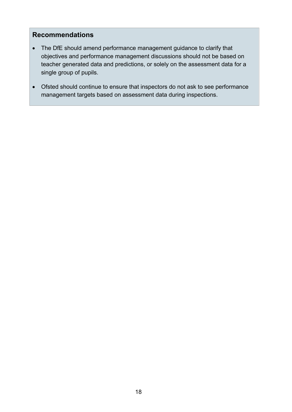- The DfE should amend performance management guidance to clarify that objectives and performance management discussions should not be based on teacher generated data and predictions, or solely on the assessment data for a single group of pupils.
- Ofsted should continue to ensure that inspectors do not ask to see performance management targets based on assessment data during inspections.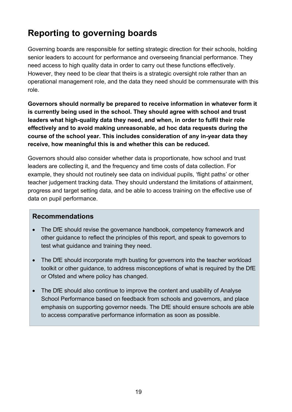## <span id="page-18-0"></span>**Reporting to governing boards**

Governing boards are responsible for setting strategic direction for their schools, holding senior leaders to account for performance and overseeing financial performance. They need access to high quality data in order to carry out these functions effectively. However, they need to be clear that theirs is a strategic oversight role rather than an operational management role, and the data they need should be commensurate with this role.

**Governors should normally be prepared to receive information in whatever form it is currently being used in the school. They should agree with school and trust leaders what high-quality data they need, and when, in order to fulfil their role effectively and to avoid making unreasonable, ad hoc data requests during the course of the school year. This includes consideration of any in-year data they receive, how meaningful this is and whether this can be reduced.** 

Governors should also consider whether data is proportionate, how school and trust leaders are collecting it, and the frequency and time costs of data collection. For example, they should not routinely see data on individual pupils, 'flight paths' or other teacher judgement tracking data. They should understand the limitations of attainment, progress and target setting data, and be able to access training on the effective use of data on pupil performance.

- The DfE should revise the governance handbook, competency framework and other guidance to reflect the principles of this report, and speak to governors to test what guidance and training they need.
- The DfE should incorporate myth busting for governors into the teacher workload toolkit or other guidance, to address misconceptions of what is required by the DfE or Ofsted and where policy has changed.
- The DfE should also continue to improve the content and usability of Analyse School Performance based on feedback from schools and governors, and place emphasis on supporting governor needs. The DfE should ensure schools are able to access comparative performance information as soon as possible.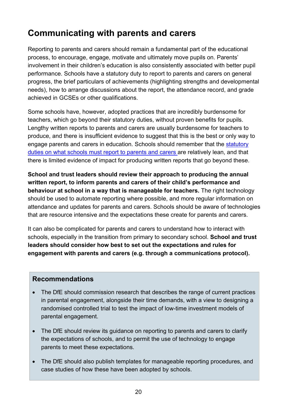## <span id="page-19-0"></span>**Communicating with parents and carers**

Reporting to parents and carers should remain a fundamental part of the educational process, to encourage, engage, motivate and ultimately move pupils on. Parents' involvement in their children's education is also consistently associated with better pupil performance. Schools have a statutory duty to report to parents and carers on general progress, the brief particulars of achievements (highlighting strengths and developmental needs), how to arrange discussions about the report, the attendance record, and grade achieved in GCSEs or other qualifications.

Some schools have, however, adopted practices that are incredibly burdensome for teachers, which go beyond their statutory duties, without proven benefits for pupils. Lengthy written reports to parents and carers are usually burdensome for teachers to produce, and there is insufficient evidence to suggest that this is the best or only way to engage parents and carers in education. Schools should remember that the [statutory](https://www.gov.uk/guidance/school-reports-on-pupil-performance-guide-for-headteachers)  [duties on what schools must report to parents and carers](https://www.gov.uk/guidance/school-reports-on-pupil-performance-guide-for-headteachers) are relatively lean, and that there is limited evidence of impact for producing written reports that go beyond these.

**School and trust leaders should review their approach to producing the annual written report, to inform parents and carers of their child's performance and behaviour at school in a way that is manageable for teachers.** The right technology should be used to automate reporting where possible, and more regular information on attendance and updates for parents and carers. Schools should be aware of technologies that are resource intensive and the expectations these create for parents and carers.

It can also be complicated for parents and carers to understand how to interact with schools, especially in the transition from primary to secondary school. **School and trust leaders should consider how best to set out the expectations and rules for engagement with parents and carers (e.g. through a communications protocol).**

- The DfE should commission research that describes the range of current practices in parental engagement, alongside their time demands, with a view to designing a randomised controlled trial to test the impact of low-time investment models of parental engagement.
- The DfE should review its guidance on reporting to parents and carers to clarify the expectations of schools, and to permit the use of technology to engage parents to meet these expectations.
- The DfE should also publish templates for manageable reporting procedures, and case studies of how these have been adopted by schools.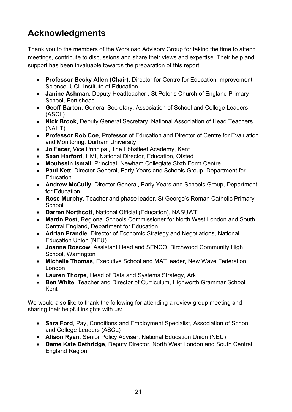## <span id="page-20-0"></span>**Acknowledgments**

Thank you to the members of the Workload Advisory Group for taking the time to attend meetings, contribute to discussions and share their views and expertise. Their help and support has been invaluable towards the preparation of this report:

- **Professor Becky Allen (Chair)**, Director for Centre for Education Improvement Science, UCL Institute of Education
- **Janine Ashman**, Deputy Headteacher , St Peter's Church of England Primary School, Portishead
- **Geoff Barton**, General Secretary, Association of School and College Leaders (ASCL)
- **Nick Brook**, Deputy General Secretary, National Association of Head Teachers (NAHT)
- **Professor Rob Coe**, Professor of Education and Director of Centre for Evaluation and Monitoring, Durham University
- **Jo Facer**, Vice Principal, The Ebbsfleet Academy, Kent
- **Sean Harford**, HMI, National Director, Education, Ofsted
- **Mouhssin Ismail**, Principal, Newham Collegiate Sixth Form Centre
- **Paul Kett**, Director General, Early Years and Schools Group, Department for **Education**
- **Andrew McCully**, Director General, Early Years and Schools Group, Department for Education
- **Rose Murphy**, Teacher and phase leader, St George's Roman Catholic Primary **School**
- **Darren Northcott**, National Official (Education), NASUWT
- **Martin Post**, Regional Schools Commissioner for North West London and South Central England, Department for Education
- **Adrian Prandle**, Director of Economic Strategy and Negotiations, National Education Union (NEU)
- **Joanne Roscow**, Assistant Head and SENCO, Birchwood Community High School, Warrington
- **Michelle Thomas**, Executive School and MAT leader, New Wave Federation, London
- **Lauren Thorpe**, Head of Data and Systems Strategy, Ark
- **Ben White**, Teacher and Director of Curriculum, Highworth Grammar School, Kent

We would also like to thank the following for attending a review group meeting and sharing their helpful insights with us:

- **Sara Ford**, Pay, Conditions and Employment Specialist, Association of School and College Leaders (ASCL)
- **Alison Ryan**, Senior Policy Adviser, National Education Union (NEU)
- **Dame Kate Dethridge**, Deputy Director, North West London and South Central England Region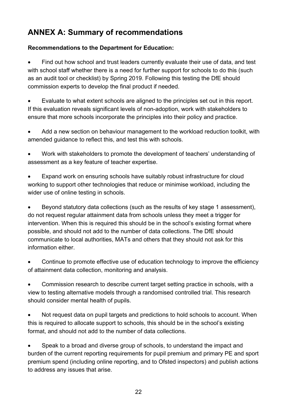## <span id="page-21-0"></span>**ANNEX A: Summary of recommendations**

#### **Recommendations to the Department for Education:**

Find out how school and trust leaders currently evaluate their use of data, and test with school staff whether there is a need for further support for schools to do this (such as an audit tool or checklist) by Spring 2019. Following this testing the DfE should commission experts to develop the final product if needed.

• Evaluate to what extent schools are aligned to the principles set out in this report. If this evaluation reveals significant levels of non-adoption, work with stakeholders to ensure that more schools incorporate the principles into their policy and practice.

• Add a new section on behaviour management to the workload reduction toolkit, with amended guidance to reflect this, and test this with schools.

• Work with stakeholders to promote the development of teachers' understanding of assessment as a key feature of teacher expertise.

• Expand work on ensuring schools have suitably robust infrastructure for cloud working to support other technologies that reduce or minimise workload, including the wider use of online testing in schools.

• Beyond statutory data collections (such as the results of key stage 1 assessment), do not request regular attainment data from schools unless they meet a trigger for intervention. When this is required this should be in the school's existing format where possible, and should not add to the number of data collections. The DfE should communicate to local authorities, MATs and others that they should not ask for this information either.

• Continue to promote effective use of education technology to improve the efficiency of attainment data collection, monitoring and analysis.

• Commission research to describe current target setting practice in schools, with a view to testing alternative models through a randomised controlled trial. This research should consider mental health of pupils.

• Not request data on pupil targets and predictions to hold schools to account. When this is required to allocate support to schools, this should be in the school's existing format, and should not add to the number of data collections.

• Speak to a broad and diverse group of schools, to understand the impact and burden of the current reporting requirements for pupil premium and primary PE and sport premium spend (including online reporting, and to Ofsted inspectors) and publish actions to address any issues that arise.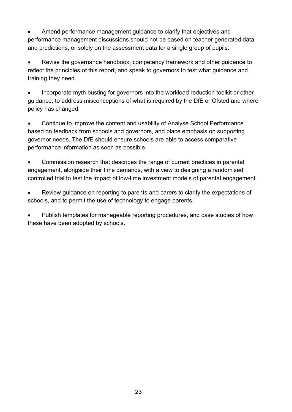• Amend performance management guidance to clarify that objectives and performance management discussions should not be based on teacher generated data and predictions, or solely on the assessment data for a single group of pupils.

Revise the governance handbook, competency framework and other guidance to reflect the principles of this report, and speak to governors to test what guidance and training they need.

• Incorporate myth busting for governors into the workload reduction toolkit or other guidance, to address misconceptions of what is required by the DfE or Ofsted and where policy has changed.

• Continue to improve the content and usability of Analyse School Performance based on feedback from schools and governors, and place emphasis on supporting governor needs. The DfE should ensure schools are able to access comparative performance information as soon as possible.

• Commission research that describes the range of current practices in parental engagement, alongside their time demands, with a view to designing a randomised controlled trial to test the impact of low-time investment models of parental engagement.

Review guidance on reporting to parents and carers to clarify the expectations of schools, and to permit the use of technology to engage parents.

• Publish templates for manageable reporting procedures, and case studies of how these have been adopted by schools.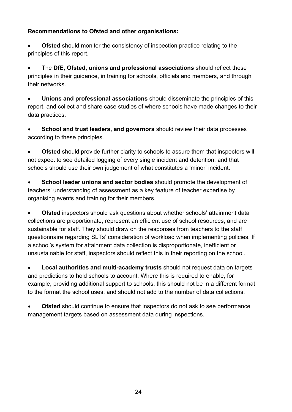#### **Recommendations to Ofsted and other organisations:**

**Ofsted** should monitor the consistency of inspection practice relating to the principles of this report.

• The **DfE, Ofsted, unions and professional associations** should reflect these principles in their guidance, in training for schools, officials and members, and through their networks.

• **Unions and professional associations** should disseminate the principles of this report, and collect and share case studies of where schools have made changes to their data practices.

• **School and trust leaders, and governors** should review their data processes according to these principles.

**Ofsted** should provide further clarity to schools to assure them that inspectors will not expect to see detailed logging of every single incident and detention, and that schools should use their own judgement of what constitutes a 'minor' incident.

• **School leader unions and sector bodies** should promote the development of teachers' understanding of assessment as a key feature of teacher expertise by organising events and training for their members.

• **Ofsted** inspectors should ask questions about whether schools' attainment data collections are proportionate, represent an efficient use of school resources, and are sustainable for staff. They should draw on the responses from teachers to the staff questionnaire regarding SLTs' consideration of workload when implementing policies. If a school's system for attainment data collection is disproportionate, inefficient or unsustainable for staff, inspectors should reflect this in their reporting on the school.

• **Local authorities and multi-academy trusts** should not request data on targets and predictions to hold schools to account. Where this is required to enable, for example, providing additional support to schools, this should not be in a different format to the format the school uses, and should not add to the number of data collections.

• **Ofsted** should continue to ensure that inspectors do not ask to see performance management targets based on assessment data during inspections.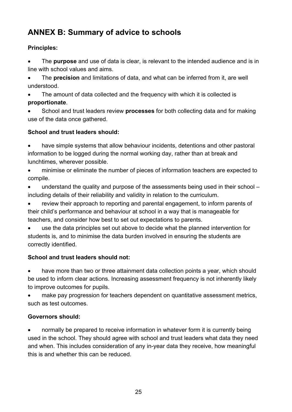## <span id="page-24-0"></span>**ANNEX B: Summary of advice to schools**

#### **Principles:**

• The **purpose** and use of data is clear, is relevant to the intended audience and is in line with school values and aims.

• The **precision** and limitations of data, and what can be inferred from it, are well understood.

The amount of data collected and the frequency with which it is collected is **proportionate**.

• School and trust leaders review **processes** for both collecting data and for making use of the data once gathered.

#### **School and trust leaders should:**

• have simple systems that allow behaviour incidents, detentions and other pastoral information to be logged during the normal working day, rather than at break and lunchtimes, wherever possible.

• minimise or eliminate the number of pieces of information teachers are expected to compile.

• understand the quality and purpose of the assessments being used in their school – including details of their reliability and validity in relation to the curriculum.

review their approach to reporting and parental engagement, to inform parents of their child's performance and behaviour at school in a way that is manageable for teachers, and consider how best to set out expectations to parents.

use the data principles set out above to decide what the planned intervention for students is, and to minimise the data burden involved in ensuring the students are correctly identified.

#### **School and trust leaders should not:**

have more than two or three attainment data collection points a vear, which should be used to inform clear actions. Increasing assessment frequency is not inherently likely to improve outcomes for pupils.

• make pay progression for teachers dependent on quantitative assessment metrics, such as test outcomes.

## **Governors should:**

• normally be prepared to receive information in whatever form it is currently being used in the school. They should agree with school and trust leaders what data they need and when. This includes consideration of any in-year data they receive, how meaningful this is and whether this can be reduced.